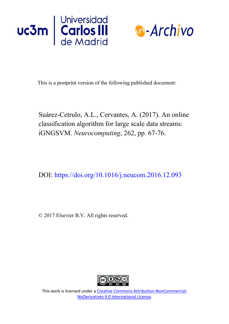



This is a postprint version of the following published document:

Suárez-Cetrulo, A.L., Cervantes, A. (2017). An online classification algorithm for large scale data streams: iGNGSVM. *Neurocomputing*, 262, pp. 67-76.

DOI: https://doi.org/10.1016/j.neucom.2016.12.093

© 2017 Elsevier B.V. All rights reserved.



This work is licensed under a Creative [Commons Attribution-NonCommercial-](https://creativecommons.org/licenses/by-nc-nd/4.0/)NoDerivatives [4.0 International License.](https://creativecommons.org/licenses/by-nc-nd/4.0/)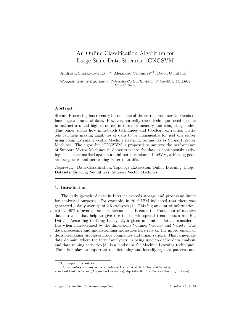# An Online Classification Algorithm for Large Scale Data Streams: iGNGSVM

Andrés L Suárez-Cetrulo<sup>a,1,∗</sup>, Alejandro Cervantes<sup>a,1</sup>, David Quintana<sup>a,1</sup>

<sup>a</sup>Computer Science Department, University Carlos III, Avda. Universidad, 30, 28911, Madrid, Spain

## Abstract

Stream Processing has recently become one of the current commercial trends to face huge amounts of data. However, normally these techniques need specific infrastructures and high resources in terms of memory and computing nodes. This paper shows how mini-batch techniques and topology extraction methods can help making gigabytes of data to be manageable for just one server using computationally costly Machine Learning techniques as Support Vector Machines. The algorithm iGNGSVM is proposed to improve the performance of Support Vector Machines in datasets where the data is continuously arriving. It is benchmarked against a mini-batch version of LibSVM, achieving good accuracy rates and performing faster than this.

Keywords: Data Classification, Topology Extraction, Online Learning, Large Datasets, Growing Neural Gas, Support Vector Machines.

#### 1. Introduction

The daily growth of data in Internet exceeds storage and processing limits for analytical purposes. For example, in 2012 IBM indicated that there was generated a daily average of 2.5 exabytes [1]. This big amount of information, with a 40% of average annual increase, has become the front door of massive data streams that help to give rise to the widespread trend known as "Big Data". According to Doug Laney [2], a given amount of data is considered this when characterized by the dimensions Volume, Velocity and Variety. The data processing and understanding necessities here rely on the improvement of <sup>10</sup> decision-making processes inside companies and organizations. This large-scale data domain, where the term "analytics" is being used to define data analysis and data mining activities [3], is a landscape for Machine Learning techniques. These last play an important role detecting and identifying data patterns and

<sup>∗</sup>Corresponding author

Email addresses: suarezcetrulo@gmail.com (Andrés L Suárez-Cetrulo),

acervant@inf.uc3m.es (Alejandro Cervantes), dquintan@inf.uc3m.es (David Quintana)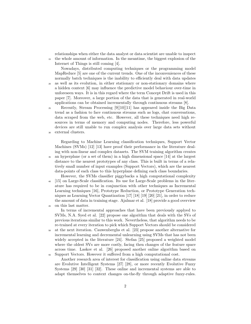relationships when either the data analyst or data scientist are unable to inspect <sup>15</sup> the whole amount of information. In the meantime, the biggest explosion of the Internet of Things is still coming [4].

Nowadays, distributed computing techniques or the programming model MapReduce [5] are one of the current trends. One of the inconveniences of these normally batch techniques is the inability to efficiently deal with data updates <sup>20</sup> as well as its evolution, in either stationary or non-stationary domains where a hidden context [6] may influence the predictive model behaviour over-time in unforeseen ways. It is in this regard where the term Concept Drift is used in this paper [7]. Moreover, a large portion of the data that is generated in real-world applications can be obtained incrementally through continuous streams [8].

 $\alpha$ <sup>25</sup> Recently, Stream Processing [9][10][11] has appeared inside the Big Data trend as a fashion to face continuous streams such as logs, chat conversations, data scraped from the web, etc. However, all these techniques need high resources in terms of memory and computing nodes. Therefore, less powerful devices are still unable to run complex analysis over large data sets without <sup>30</sup> external clusters.

Regarding to Machine Learning classification techniques, Support Vector Machines (SVMs) [12] [13] have proof their performance in the literature dealing with non-linear and complex datasets. The SVM training algorithm creates <sup>35</sup> an hyperplane (or a set of them) in a high dimensional space [14] at the largest distance to the nearest prototypes of any class. This is built in terms of a relatively small number of input examples (Support Vectors), which are the nearest data-points of each class to this hyperplane defining each class boundaries.

However, the SVMs classifier piggybacks a high computational complexity <sup>40</sup> [15] on Large-Scale classification. Its use for Large-Scale problems in the literature has required to be in conjunction with other techniques as Incremental Learning techniques [16], Prototype Reduction, or Prototype Generation techniques as Learning Vector Quantization [17] [18] [19] [20] [21], in order to reduce the amount of data in training stage. Ajalmar et al. [18] provide a good overview <sup>45</sup> on this last matter.

In terms of incremental approaches that have been previously applyed to SVMs, N.A. Syed et al. [22] propose one algorithm that deals with the SVs of previous iterations similar to this work. Nevertheless, that algorithm needs to be re-trained at every iteration to pick which Support Vectors should be considered

<sup>50</sup> at the next iteration. Cauwenberghs et al. [23] propose another alternative for incremental learning and decremental unlearning using SVMs that has not been widely accepted in the literature [24]. Stefan [25] proposed a weighted model where the oldest SVs are more costly, facing then changes of the feature space across time. Laskov et al. [26] proposed another online algorithm based on Support Vectors. However it suffered from a high computational cost.

Another research area of interest for classification using online data streams are Evolutive Intelligent Systems [27] [28], or more recently Evolutive Fuzzy Systems [29] [30] [31] [32]. These online and incremental systems are able to adapt themselves to context changes on-the-fly through adaptive fuzzy-rules.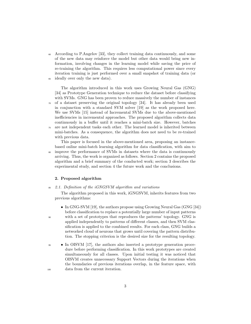<sup>60</sup> According to P.Angelov [33], they collect training data continuously, and some of the new data may reinforce the model but other data would bring new information, involving changes in the learning model while saving the price of re-training the algorithm. This requires less computational power since every iteration training is just performed over a small snapshot of training data (or <sup>65</sup> ideally over only the new data).

The algorithm introduced in this work uses Growing Neural Gas (GNG) [34] as Prototype Generation technique to reduce the dataset before classifying with SVMs. GNG has been proven to reduce massively the number of instances  $\sigma$  of a dataset preserving the original topology [34]. It has already been used

- in conjunction with a standard SVM solver [19] as the work proposed here. We use SVMs [15] instead of Incremental SVMs due to the above-mentioned inefficiencies in incremental approaches. The proposed algorithm collects data continuously in a buffer until it reaches a mini-batch size. However, batches <sup>75</sup> are not independent tasks each other. The learned model is inherited between
- mini-batches. As a consequence, the algorithm does not need to be re-trained with previous data.

This paper is focused in the above-mentioned area, proposing an instancebased online mini-batch learning algorithm for data classification, with aim to <sup>80</sup> improve the performance of SVMs in datasets where the data is continuously arriving. Thus, the work is organized as follows. Section 2 contains the proposed algorithm and a brief summary of the conducted work; section 3 describes the experimental study, and section 4 the future work and the conclusions.

## 2. Proposed algorithm

 $85\quad 2.1.$  Definition of the iGNGSVM algorithm and variations

The algorithm proposed in this work, iGNGSVM, inherits features from two previous algorithms:

- In GNG-SVM [19], the authors propose using Growing Neural Gas (GNG [34]) before classification to replace a potentially large number of input patterns
- <sup>90</sup> with a set of prototypes that reproduces the patterns' topology. GNG is applied independently to patterns of different classes, and then SVM classification is applied to the combined results. For each class, GNG builds a networked cloud of neurons that grows until covering the pattern distribution. The stopping criterion is the desired size for the resulting topology.
- <sup>95</sup> In OISVM [17], the authors also inserted a prototype generation procedure before performing classification. In this work prototypes are created simultaneously for all classes. Upon initial testing it was noticed that OISVM creates unnecessary Support Vectors during the iterations when the boundaries of previous iterations overlap, in the feature space, with <sup>100</sup> data from the current iteration.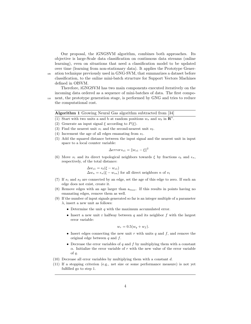Our proposal, the iGNGSVM algorithm, combines both approaches. Its objective is large-Scale data classification on continuous data streams (online learning), even on situations that need a classification model to be updated over time (learning from non-stationary data). It applies the Prototype Gener-<sup>105</sup> ation technique previously used in GNG-SVM, that summarizes a dataset before classification, to the online mini-batch structure for Support Vectors Machines

defined in OISVM.

Therefore, iGNGSVM has two main components executed iteratively on the incoming data ordered as a sequence of mini-batches of data. The first compo-<sup>110</sup> nent, the prototype generation stage, is performed by GNG and tries to reduce

the computational cost.

| <b>Algorithm 1</b> Growing Neural Gas algorithm subtracted from [34]                     |  |
|------------------------------------------------------------------------------------------|--|
| (1) Start with two units a and b at random positions $w_a$ and $w_b$ in $\mathbb{R}^n$ . |  |
| $(0)$ $(1)$ $(2)$ $(3)$                                                                  |  |

- (2) Generate an input signal  $\xi$  according to  $P(\xi)$ .
- (3) Find the nearest unit  $s_1$  and the second-nearest unit  $s_2$ .
- (4) Increment the age of all edges emanating from  $s_1$ .
- (5) Add the squared distance between the input signal and the nearest unit in input space to a local counter variable:

$$
\Delta errors_{s1} = \|w_{s1} - \xi\|^2
$$

(6) Move  $s_1$  and its direct topological neighbors towards  $\xi$  by fractions  $\epsilon_b$  and  $\epsilon_n$ , respectively, of the total distance:

$$
\Delta w_{s1} = \epsilon_b (\xi - w_{s1})
$$
  
 
$$
\Delta w_n = \epsilon_n (\xi - w_{sn})
$$
 for all direct neighbors n of  $s_1$ 

- (7) If  $s_1$  and  $s_2$  are connected by an edge, set the age of this edge to zero. If such an edge does not exist, create it.
- (8) Remove edges with an age larger than  $a_{max}$ . If this results in points having no emanating edges, remove them as well.
- (9) If the number of input signals generated so far is an integer multiple of a parameter  $\lambda$ , insert a new unit as follows:
	- Determine the unit  $q$  with the maximum accumulated error.
	- Insert a new unit r halfway between  $q$  and its neighbor  $f$  with the largest error variable:

$$
w_r = 0.5(w_q + w_f).
$$

- Insert edges connecting the new unit  $r$  with units  $q$  and  $f$ , and remove the original edge between  $q$  and  $f$ .
- Decrease the error variables of q and f by multiplying them with a constant  $\alpha$ . Initialize the error variable of r with the new value of the error variable of q.
- (10) Decrease all error variables by multiplying them with a constant d.
- (11) If a stopping criterion (e.g., net size or some performance measure) is not yet fulfilled go to step 1.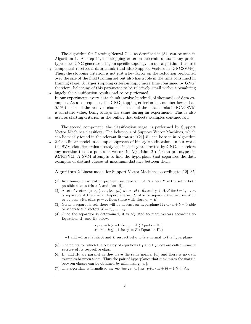The algorithm for Growing Neural Gas, as described in [34] can be seen in Algorithm 1. At step 11, the stopping criterion determines how many prototypes does GNG generate using an specific topology. In our algorithm, this first 115 component receives a data chunk (and also Support Vectors in  $i$ GNGSVM<sub>2</sub>). Thus, the stopping criterion is not just a key factor on the reduction performed over the size of the final training set but also has a role in the time consumed in training stage. A larger stopping criterion imply more time consumed by GNG; therefore, balancing of this parameter to be relatively small without penalizing <sup>120</sup> hugely the classification results had to be performed.

In our experiments every data chunk involve hundreds of thousands of data examples. As a consequence, the GNG stopping criterion is a number lower than 0.1% the size of the received chunk. The size of the data-chunks in iGNGSVM is an static value, being always the same during an experiment. This is also <sup>125</sup> used as starting criterion in the buffer, that collects examples continuously.

The second component, the classification stage, is performed by Support Vector Machines classifiers. The behaviour of Support Vector Machines, which can be widely found in the relevant literature [12] [15], can be seen in Algorithm <sup>130</sup> 2 for a linear model in a simple approach of binary classification. In our work, the SVM classifier trains prototypes since they are created by GNG. Therefore any mention to data points or vectors in Algorithm 2 refers to prototypes in iGNGSVM. A SVM attempts to find the hyperplane that separates the data examples of distinct classes at maximum distance between them.

Algorithm 2 Linear model for Support Vector Machines according to [12] [35]

- (1) In a binary classification problem, we have  $Y = A, B$  where Y is the set of both possible classes (class A and class B).
- (2) A set of vectors  $(x_1, y_1), \ldots, (x_n, y_n)$  where  $xi \in R_d$  and  $y_i \in A, B$  for  $i = 1, \ldots, n$ is separable if there is an hyperplane in  $R_d$  able to separate the vectors  $X =$  $x_1, \ldots, x_n$  with class  $y_i = A$  from those with class  $y_i = B$ .
- (3) Given a separable set, there will be at least an hyperplane  $\Pi : w \cdot x + b = 0$  able to separate the vectors  $X = x_1, \ldots, x_n$ .
- (4) Once the separator is determined, it is adjusted to more vectors according to Equations  $\Pi_1$  and  $\Pi_2$  below.

 $x_i \cdot w + b \geqslant +1$  for  $y_i = A$  (Equation  $\Pi_1$ )  $x_i \cdot w + b \leq -1$  for  $y_i = B$  (Equation  $\Pi_2$ )

 $+1$  and  $-1$  are labels A and B respectively. w is a normal to the hyperplane.

- (5) The points for which the equality of equations  $\Pi_1$  and  $\Pi_2$  hold are called *support* vectors of its respective class.
- (6)  $\Pi_1$  and  $\Pi_2$  are parallel as they have the same normal (w) and there is no data examples between them. Thus the pair of hyperplanes that maximizes the margin between classes can be obtained by minimizing  $||w||$ .
- (7) The algorithm is formalised as: minimize  $||w||$  s.t.  $y_i(w \cdot xi + b) 1 \geq 0, \forall x_i$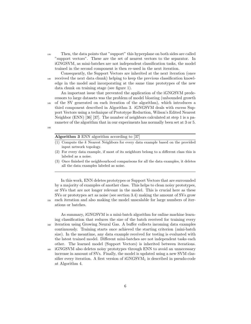<sup>135</sup> Then, the data points that "support" this hyperplane on both sides are called "support vectors". These are the set of nearest vectors to the separator. In iGNGSVM, as mini-batches are not independent classification tasks, the model trained in the second component is then re-used in the next iteration.

Consequently, the Support Vectors are inherited at the next iteration (once <sup>140</sup> received the next data chunk) helping to keep the previous classification knowledge in the model and incorporating at the same time prototypes of the new data chunk on training stage (see figure 1).

An important issue that prevented the application of the iGNGSVM predecessors to large datasets was the problem of model bloating (unbounded growth <sup>145</sup> of the SV generated on each iteration of the algorithm), which introduces a third component described in Algorithm 3. iGNGSVM deals with excess Support Vectors using a technique of Prototype Reduction, Wilson's Edited Nearest Neighbor (ENN) [36] [37]. The number of neighbors calculated at step 1 is a parameter of the algorithm that in our experiments has normally been set at 3 or 5.

150

# Algorithm 3 ENN algorithm according to [37]

- (1) Compute the k Nearest Neighbors for every data example based on the provided input network topology.
- (2) For every data example, if most of its neighbors belong to a different class this is labeled as a noise.
- (3) Once finished the neighbourhood comparisons for all the data examples, it deletes all the data examples labeled as noise.

In this work, ENN deletes prototypes or Support Vectors that are surrounded by a majority of examples of another class. This helps to clean noisy prototypes, or SVs that are not longer relevant in the model. This is crucial here as these SVs or prototypes act as noise (see section 3.4) making the amount of SVs grow <sup>155</sup> each iteration and also making the model unscalable for large numbers of iterations or batches.

As summary, iGNGSVM is a mini-batch algorithm for online machine learning classification that reduces the size of the batch received for training every <sup>160</sup> iteration using Growing Neural Gas. A buffer collects incoming data examples continuously. Training starts once achieved the starting criterion (mini-batch size). In the meantime, any data example received for testing is evaluated with the latest trained model. Different mini-batches are not independent tasks each other. The learned model (Support Vectors) is inherited between iterations.

<sup>165</sup> iGNGSVM also deletes noisy prototypes through ENN to avoid an unnecessary increase in amount of SVs. Finally, the model is updated using a new SVM classifier every iteration. A first version of  $iGNGSVM<sub>1</sub>$  is described in pseudo-code at Algorithm 4.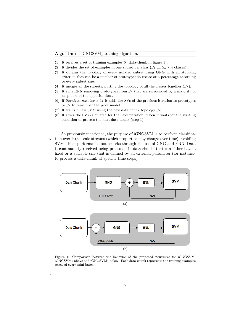- (1) It receives a set of training examples  $S$  (data-chunk in figure 1).
- (2) It divides the set of examples in one subset per class  $(S_1, ..., S_n \mid n \text{ classes}).$
- (3) It obtains the topology of every isolated subset using GNG with an stopping criterion that can be a number of prototypes to create or a percentage according to every subset size.
- (4) It merges all the subsets, putting the topology of all the classes together  $(S<sup>*</sup>)$ .
- (5) It runs ENN removing prototypes from S∗ that are surrounded by a majority of neighbors of the opposite class.
- (6) If *iteration number*  $> 1$ : It adds the SVs of the previous iteration as prototypes to S∗ to remember the prior model.
- (7) It trains a new SVM using the new data chunk topology  $S^*$ .
- (8) It saves the SVs calculated for the next iteration. Then it waits for the starting condition to process the next data-chunk (step 1)

As previously mentioned, the purpose of iGNGSVM is to perform classifica-<sup>170</sup> tion over large-scale streams (which properties may change over time), avoiding SVMs' high performance bottlenecks through the use of GNG and ENN. Data is continuously received being processed in data-chunks that can either have a fixed or a variable size that is defined by an external parameter (for instance, to process a data-chunk at specific time steps).



Figure 1: Comparison between the behavior of the proposed structures for iGNGSVM. iGNGSVM<sup>1</sup> above and iGNGSVM<sup>2</sup> below. Each data-chunk represents the training examples received every mini-batch.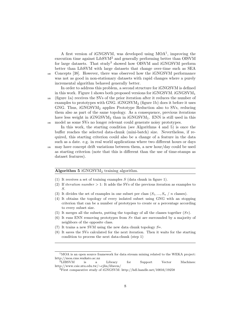A first version of iGNGSVM, was developed using MOA<sup>1</sup>, improving the execution time against LibSVM<sup>2</sup> and generally performing better than OISVM for large datasets. That study<sup>3</sup> showed how OISVM and iGNGSVM perform better than LibSVM with large datasets that change over-time such as SEA <sup>180</sup> Concepts [38]. However, there was observed how the iGNGSVM performance was not as good in non-stationary datasets with rapid changes where a purely incremental algorithm behaved generally better.

In order to address this problem, a second structure for iGNGSVM is defined in this work. Figure 1 shows both proposed versions for  $i$ GNGSVM.  $i$ GNGSVM<sub>1</sub> <sup>185</sup> (figure 1a) receives the SVs of the prior iteration after it reduces the number of examples to prototypes with GNG.  $i$ GNGSVM<sub>2</sub> (figure 1b) does it before it uses GNG. Thus, iGNGSVM<sup>2</sup> applies Prototype Reduction also to SVs, reducing them also as part of the same topology. As a consequence, previous iterations have less weight in  $i$ GNGSVM<sub>2</sub> than in  $i$ GNGSVM<sub>1</sub>. ENN is still used in this <sup>190</sup> model as some SVs no longer relevant could generate noisy prototypes.

In this work, the starting condition (see Algorithms 4 and 5) is once the buffer reaches the selected data-chunk (mini-batch) size. Nevertheless, if required, this starting criterion could also be a change of a feature in the data such as a date. e.g. in real world applications where two different hours or days

<sup>195</sup> may have concept drift variations between them, a new hour/day could be used as starting criterion (note that this is different than the use of time-stamps as dataset features).

#### Algorithm  $5$  iGNGSVM<sub>2</sub> training algorithm.

- (1) It receives a set of training examples  $S$  (data chunk in figure 1).
- (2) If *iteration number*  $> 1$ : It adds the SVs of the previous iteration as examples to S.
- (3) It divides the set of examples in one subset per class  $(S_1, ..., S_n \mid n$  classes).
- (4) It obtains the topology of every isolated subset using GNG with an stopping criterion that can be a number of prototypes to create or a percentage according to every subset size.
- (5) It merges all the subsets, putting the topology of all the classes together  $(S<sup>*</sup>)$ .
- (6) It runs ENN removing prototypes from S∗ that are surrounded by a majority of neighbors of the opposite class.
- (7) It trains a new SVM using the new data chunk topology  $S^*$ .
- (8) It saves the SVs calculated for the next iteration. Then it waits for the starting condition to process the next data-chunk (step 1)

 $^1 \rm{MOA}$  is an open source framework for data stream mining related to the WEKA project: http://moa.cms.waikato.ac.nz

<sup>2</sup>LIBSVM is a Library for Support Vector Machines: http://www.csie.ntu.edu.tw/∼cjlin/libsvm/

<sup>3</sup>First comparative study of iGNGSVM: http://hdl.handle.net/10016/19258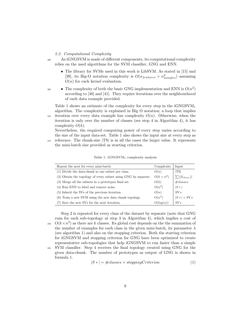### 2.2. Computational Complexity

<sup>200</sup> As iGNGSVM is made of different components, its computational complexity relies on the used algorithms for the SVM classifier, GNG and ENN.

- The library for SVMs used in this work is LibSVM. As stated in [15] and [39], its Big-O notation complexity is  $O(n_{features} \times n_{samples}^2)$  assuming  $O(n)$  for each kernel evaluation.
- 

• The complexity of both the basic GNG implementation and ENN is  $O(n^2)$ according to [40] and [41]. They require iterations over the neighbourhood of each data example provided.

Table 1 shows an estimate of the complexity for every step in the  $i$ GNGSVM<sub>1</sub> algorithm. The complexity is explained in Big O notation; a loop that implies 210 iteration over every data example has complexity  $O(n)$ . Otherwise, when the iteration is only over the number of classes (see step 4 in Algorithm 4), it has complexity  $O(k)$ .

Nevertheless, the required computing power of every step varies according to the size of the input data-set. Table 1 also shows the input size at every step as

<sup>215</sup> reference. The chunk-size |TS| is in all the cases the larger value. It represents the mini-batch size provided as starting criterion.

| Repeat the next for every mini-batch                           | Complexity        | Input                 |
|----------------------------------------------------------------|-------------------|-----------------------|
| (1) Divide the data-chunk in one subset per class.             | O(n)              | TSI                   |
| (2) Obtain the topology of every subset using GNG by separate. | $O(k \times n^2)$ | $\sum( S_{class_i} )$ |
| (3) Merge all the subsets in a prototypes final set.           | O(k)              | #classes              |
| (4) Run ENN to label and remove noise.                         | $O(n^2)$          | $ S* $                |
| (5) Inherit the SVs of the previous iteration.                 | O(n)              | SVs                   |
| (6) Train a new SVM using the new data chunk topology.         | $O(n^3)$          | $ S*  + SVs$          |
| (7) Save the new SVs for the next iteration.                   | O(log(n))         | SVs                   |

Step 2 is repeated for every class of the dataset by separate (note that GNG runs for each sub-topology at step 3 in Algorithm 4), which implies a cost of

Table 1:  $i$ GNGSVM<sub>1</sub> complexity analysis

<sup>220</sup>  $O(k \times n^2)$  as there are k classes. Its global cost depends on the the summation of the number of examples for each class in the given mini-batch, its parameter  $\lambda$ (see algorithm 1) and also on the stopping criterion. Both the starting criterion for iGNGSVM and stopping criterion for GNG have been optimized to create representative sub-topologies that help iGNGSVM to run faster than a simple <sup>225</sup> SVM classifier. Step 4 receives the final topology created using GNG for the given data-chunk. The number of prototypes as output of GNG is shown in formula 1.

$$
|S*| = \#classes \times stoppingCriterion \tag{1}
$$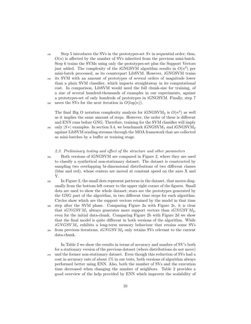- 230 Step 5 introduces the SVs in the prototypes-set  $S*$  in sequential order; thus,  $O(n)$  is affected by the number of SVs inherited from the previous mini-batch. Step 6 trains the SVMs using only the prototypes-set plus the Support Vectors just added. The complexity of the iGNGSVM algorithm results in  $O(n^3)$  per mini-batch processed, as its counterpart LibSVM. However, iGNGSVM trains <sup>235</sup> its SVM with an amount of prototypes of several orders of magnitude lower than a plain SVM classifier, which impacts straightaway in its computational cost. In comparison, LibSVM would need the full chunk-size for training, of
- a size of several hundred-thousands of examples in our experiments, against a prototypes-set of only hundreds of prototypes in iGNGSVM. Finally, step 7 <sup>240</sup> saves the SVs for the next iteration in  $O(log(n))$ .

The final Big O notation complexity analysis for  $iGNGSVM<sub>2</sub>$  is  $O(n<sup>3</sup>)$  as well as it implies the same amount of steps. However, the order of these is different and ENN runs before GNG. Therefore, training for the SVM classifier will imply <sup>245</sup> only  $|S*|$  examples. In section 3.4, we benchmark iGNGSVM<sub>1</sub> and iGNGSVM<sub>2</sub>

against LibSVM sending streams through the MOA framework that are collected as mini-batches by a buffer at training stage.

# 2.3. Preliminary testing and effect of the structure and other parameters

- 
- <sup>250</sup> Both versions of iGNGSVM are compared in Figure 2, where they are used to classify a synthetical non-stationary dataset. The dataset is constructed by sampling two overlapping bi-dimensional distributions of two different classes (blue and red), whose centers are moved at constant speed on the axes X and Y.
	- <sup>255</sup> In Figure 2, the small dots represent patterns in the dataset, that moves diagonally from the bottom left corner to the upper right corner of the figures. Small dots are used to show the whole dataset; stars are the prototypes generated by the GNG part of the algorithm, in two different time steps for each algorithm. Circles show which are the support vectors retained by the model in that time <sup>260</sup> step after the SVM phase. Comparing Figure 2a with Figure 2c, it is clear
	- that  $iGNGSVM_1$  always generates more support vectors than  $iGNGSVM_2$ , even for the initial data-chunk. Comparing Figure 2b with Figure 2d we show that the final model is quite different in both versions of the algorithm. While  $iGNGSVM<sub>1</sub>$  exhibits a long-term memory behaviour that retains some SVs <sub>265</sub> from previous iterations,  $iGNGSVM_2$  only retains SVs relevant to the current data-chunk.

In Table 2 we show the results in terms of accuracy and number of SV's both for a stationary version of the previous dataset (where distributions do not move) <sup>270</sup> and the former non-stationary dataset. Even though this reduction of SVs had a cost in accuracy rate of about  $1\%$  in our tests, both versions of algorithm always performed better using ENN. Also, both the number of SVs and the execution time decreased when changing the number of neighbors. Table 2 provides a good overview of the help provided by ENN which improves the scalability of

10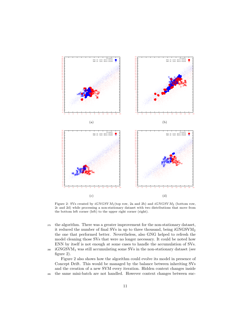

Figure 2: SVs created by  $iGNGSVM_1$ (top row, 2a and 2b) and  $iGNGSVM_2$  (bottom row, 2c and 2d) while processing a non-stationary dataset with two distributions that move from the bottom left corner (left) to the upper right corner (right).

 the algorithm. There was a greater improvement for the non-stationary dataset, it reduced the number of final SVs in up to three thousand, being iGNGSVM<sub>2</sub> the one that performed better. Nevertheless, also GNG helped to refresh the model cleaning those SVs that were no longer necessary. It could be noted how ENN by itself is not enough at some cases to handle the accumulation of SVs.  $_{280}$  iGNGSVM<sub>1</sub> was still accumulating some SVs in the non-stationary dataset (see

figure 2).

Figure 2 also shows how the algorithm could evolve its model in presence of Concept Drift. This would be managed by the balance between inheriting SVs and the creation of a new SVM every iteration. Hidden context changes inside the same mini-batch are not handled. However context changes between suc-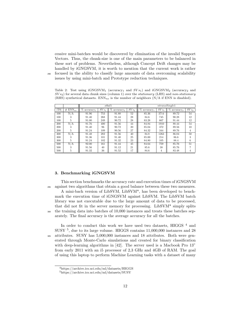cessive mini-batches would be discovered by elimination of the invalid Support Vectors. Thus, the chunk-size is one of the main parameters to be balanced in these sort of problems. Nevertheless, although Concept Drift changes may be handled by iGNGSVM, it is worth to mention that the current work is rather <sup>290</sup> focused in the ability to classify large amounts of data overcoming scalability issues by using mini-batch and Prototype reduction techniques.

Table 2: Test using  $iGNGSVM_1$  (accuracy<sub>1</sub> and  $SVs_1$ ) and  $iGNGSVM_2$  (accuracy<sub>2</sub> and  $SVs_2$ ) for several data chunk sizes (column 1) over the *stationary* (LHS) and non-stationary (RHS) synthetical datasets.  $\text{ENN}_{ne}$  is the number of neighbors (N/A if ENN is disabled).

|           |                 | stbal1                     |         |                            |                    | ntransSingle1                         |         |                            |         |
|-----------|-----------------|----------------------------|---------|----------------------------|--------------------|---------------------------------------|---------|----------------------------|---------|
| <b>TS</b> | $ENN_{ne}$<br># | %<br>accuracy <sub>1</sub> | $SVs_1$ | Ž<br>accuracy <sub>2</sub> | $\overline{SVs}_2$ | <sup>V</sup><br>accuracy <sub>1</sub> | $SVs_1$ | $\%$ accuracy <sub>2</sub> | $SVs_2$ |
| 100       | N/A             | 91.96                      | 753     | 91.88                      | 52                 | 85.36                                 | 3714    | 89.72                      | 54      |
| 100       |                 | 91.40                      | 268     | 91.44                      | 28                 | 84.6                                  | 745     | 90.28                      | 12      |
| 100       | 5               | 91.00                      | 249     | 90.72                      | 28                 | 83.28                                 | 667     | 91.44                      | 12      |
| 200       | N/A             | 91.76                      | 400     | 91.56                      | 44                 | 84.84                                 | 1910    | 88.44                      | 54      |
| 200       | 3               | 91.40                      | 96      | 90.72                      | 20                 | 85.04                                 | 372     | 89.56                      | 10      |
| 200       | 5               | 91.24                      | 109     | 90.56                      | 27                 | 84.32                                 | 344     | 89.76                      | 4       |
| 300       | N/A             | 91.48                      | 282     | 91.56                      | 40                 | 84.8                                  | 1263    | 86.04                      | 50      |
| 300       | 5               | 91.36                      | 101     | 91.40                      | 25                 | 85.00                                 | 214     | 86.6                       | 3       |
| 300       | 5               | 91.24                      | 102     | 91.32                      | 23                 | 84.80                                 | 105     | 88.4                       | 6       |
| 500       | N/A             | 92.00                      | 161     | 91.44                      | 45                 | 84.64                                 | 759     | 85.76                      | 51      |
| 500       | 5               | 91.56                      | 40      | 91.12                      | 21                 | 85.6                                  | 38      | 85.76                      |         |
| 500       | 5               | 91.32                      | 36      | 91.52                      | 17                 | 84.6                                  | 4       | 83.48                      | 4       |

## 3. Benchmarking iGNGSVM

This section benchmarks the accuracy rate and execution times of iGNGSVM <sup>295</sup> against two algorithms that obtain a good balance between these two measures. A mini-bach version of LibSVM, LibSVM\*, has been developed to benchmark the execution time of iGNGSVM against LibSVM. The LibSVM batch library was not executable due to the large amount of data to be processed, that did not fit in the server memory for processing. LibSVM\* simply splits <sup>300</sup> the training data into batches of 10,000 instances and treats these batches separately. The final accuracy is the average accuracy for all the batches.

In order to conduct this work we have used two datasets, HIGGS  $^4$  and  $\,$ SUSY<sup>5</sup>, due to its large volume. HIGGS contains 11,000,000 instances and 28 <sup>305</sup> attributes. SUSY has 5,000,000 instances and 18 attributes. Both were generated through Monte-Carlo simulations and created for binary classification with deep-learning algorithms in [42]. The server used is a Macbook Pro 13" from early 2011 with an i5 processor of 2,3 GHz and 4GB of RAM. The goal of using this laptop to perform Machine Learning tasks with a dataset of many

<sup>4</sup>https://archive.ics.uci.edu/ml/datasets/HIGGS

<sup>5</sup>https://archive.ics.uci.edu/ml/datasets/SUSY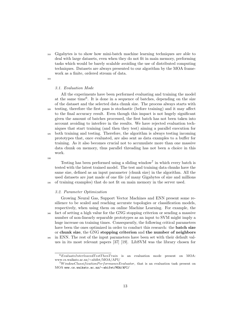<sup>310</sup> Gigabytes is to show how mini-batch machine learning techniques are able to deal with large datasets, even when they do not fit in main memory, performing tasks which would be barely scalable avoiding the use of distributed computing techniques. Datasets are always presented to our algorithm by the MOA framework as a finite, ordered stream of data.

## 3.1. Evaluation Mode

All the experiments have been performed evaluating and training the model at the same time<sup>6</sup> . It is done in a sequence of batches, depending on the size of the dataset and the selected data chunk size. The process always starts with <sup>320</sup> testing, therefore the first pass is stochastic (before training) and it may affect to the final accuracy result. Even though this impact is not hugely significant given the amount of batches processed, the first batch has not been taken into account avoiding to interfere in the results. We have rejected evaluation techniques that start training (and then they test) aiming a parallel execution for <sup>325</sup> both training and testing. Therefore, the algorithm is always testing incoming prototypes that, once evaluated, are also sent as data examples to a buffer for training. As it also becomes crucial not to accumulate more than one massive data chunk on memory, thus parallel threading has not been a choice in this work.

330

Testing has been performed using a sliding window<sup>7</sup> in which every batch is tested with the latest trained model. The test and training data chunks have the same size, defined as an input parameter (chunk size) in the algorithm. All the used datasets are just made of one file (of many Gigabytes of size and millions <sup>335</sup> of training examples) that do not fit on main memory in the server used.

#### 3.2. Parameter Optimization

Growing Neural Gas, Support Vector Machines and ENN present some resilience to be scaled and reaching accurate topologies or classification models, respectively, when using them on online Machine Learning. For example, the <sup>340</sup> fact of setting a high value for the GNG stopping criterion or sending a massive number of non-linearly separable prototypes as an input to SVM might imply a huge increase on training times. Consequently, the following critical parameters have been the ones optimized in order to conduct this research: the **batch size** or chunk size, the GNG stopping criterion and the number of neighbors in ENN. The rest of the input parameters have been set with their default values in its most relevant papers [37] [19]. LibSVM was the library chosen for

<sup>315</sup>

 $6$ EvaluateInterleavedTestThenTrain is an evaluation mode present on MOA: www.cs.waikato.ac.nz/∼abifet/MOA/API/

 $7W$ indowClassificationPerf ormanceEvaluator, that is an evaluation task present on MOA www.cs.waikato.ac.nz/∼abifet/MOA/API/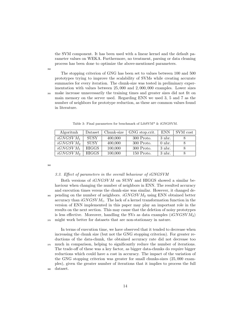the SVM component. It has been used with a linear kernel and the default parameter values on WEKA. Furthermore, no treatment, parsing or data cleaning process has been done to optimize the above-mentioned parameters.

350

The stopping criterion of GNG has been set to values between 100 and 500 prototypes trying to improve the scalability of SVMs while creating accurate summaries for every iteration. The chunk-size was tested in preliminary experimentation with values between 25, 000 and 2, 000, 000 examples. Lower sizes <sup>355</sup> make increase unnecessarily the training times and greater sizes did not fit on main memory on the server used. Regarding ENN we used 3, 5 and 7 as the number of neighbors for prototype reduction, as these are common values found in literature.

| Algoritmh            | Dataset      | Chunk-size | GNG stop.crit. | <b>ENN</b> | SVM cost |
|----------------------|--------------|------------|----------------|------------|----------|
| iGNGSVM <sub>1</sub> | <b>SUSY</b>  | 400,000    | $300$ Proto.   | $3$ nbr.   |          |
| iGNGSVM <sub>2</sub> | <b>SUSY</b>  | 400,000    | $300$ Proto.   | $0$ nbr.   |          |
| $iGNGSVM_1$          | <b>HIGGS</b> | 100,000    | $300$ Proto.   | $3$ nbr.   |          |
| iGNGSVM <sub>2</sub> | HIGGS        | 100,000    | 150 Proto.     | $3$ nbr.   |          |

Table 3: Final parameters for benchmark of LibSVM\* & iGNGSVM.

360

#### 3.3. Effect of parameters in the overall behaviour of iGNGSVM

Both versions of  $iGNGSVM$  on SUSY and HIGGS showed a similar behaviour when changing the number of neighbors in ENN. The resulted accuracy and execution times versus the chunk-size was similar. However, it changed de- $365$  pending on the number of neighbors.  $iGNGSVM_2$  using ENN obtained better accuracy than  $iGNGSVM_1$ . The lack of a kernel transformation function in the version of ENN implemented in this paper may play an important role in the results on the next section. This may cause that the deletion of noisy prototypes is less effective. Moreover, handling the SVs as data examples  $(iGNGSVM<sub>2</sub>)$ <sup>370</sup> might work better for datasets that are non-stationary in nature.

In terms of execution time, we have observed that it tended to decrease when increasing the chunk size (but not the GNG stopping criterion). For greater reductions of the data-chunk, the obtained accuracy rate did not decrease too <sup>375</sup> much in comparison, helping to significantly reduce the number of iterations. The trade-off of these was a key factor, as bigger data-chunks do require bigger reductions which could have a cost in accuracy. The impact of the variation of the GNG stopping criterion was greater for small chunks-sizes (25, 000 examples), given the greater number of iterations that it implies to process the full <sup>380</sup> dataset.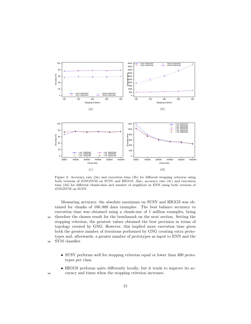

Figure 3: Accuracy rate (3a) and execution time (3b) for different stopping criterion using both versions of iGNGSVM on SUSY and HIGGS. Also, accuracy rate (3c) and execution time (3d) for different chunk-sizes and number of neighbors at ENN using both versions of iGNGSVM on SUSY.

Measuring accuracy, the absolute maximum on SUSY and HIGGS was obtained for chunks of 100, 000 data examples. The best balance accuracy vs execution time was obtained using a chunk-size of 1 million examples, being <sup>385</sup> therefore the chosen result for the benchmark on the next section. Setting the stopping criterion, the greatest values obtained the best precision in terms of topology created by GNG. However, this implied more execution time given both the greater number of iterations performed by GNG creating extra prototypes and, afterwards, a greater number of prototypes as input to ENN and the <sup>390</sup> SVM classifier.

- SUSY performs well for stopping criterion equal or lower than 300 prototypes per class.
- HIGGS performs quite differently locally, but it tends to improve its ac-<sup>395</sup> curacy and times when the stopping criterion increases.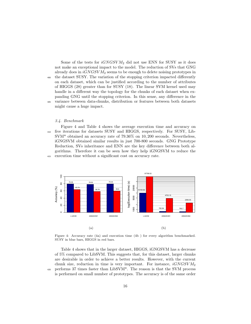Some of the tests for  $iGNGSVM<sub>2</sub>$  did not use ENN for SUSY as it does not make an exceptional impact to the model. The reduction of SVs that GNG already does in  $iGNGSVM<sub>2</sub>$  seems to be enough to delete noising prototypes in <sup>400</sup> the dataset SUSY. The variation of the stopping criterion impacted differently on each dataset, which can be justified according to the number of attributes of HIGGS (28) greater than for SUSY (18). The linear SVM kernel used may handle in a different way the topology for the chunks of each dataset when expanding GNG until the stopping criterion. In this sense, any difference in the <sup>405</sup> variance between data-chunks, distribution or features between both datasets might cause a huge impact.

## 3.4. Benchmark

Figure 4 and Table 4 shows the average execution time and accuracy on <sup>410</sup> five iterations for datasets SUSY and HIGGS, respectively. For SUSY, Lib-SVM\* obtained an accuracy rate of 79.36% on 10, 200 seconds. Nevertheless, iGNGSVM obtained similar results in just 700-800 seconds. GNG Prototype Reduction, SVs inheritance and ENN are the key difference between both algorithms. Therefore it can be seen how they help iGNGSVM to reduce the <sup>415</sup> execution time without a significant cost on accuracy rate.



Figure 4: Accuracy rate (4a) and execution time (4b ) for every algorithm benchmarked. SUSY in blue bars, HIGGS in red bars.

Table 4 shows that in the larger dataset, HIGGS, iGNGSVM has a decrease of 5% compared to LibSVM. This suggests that, for this dataset, larger chunks are desirable in order to achieve a better results. However, with the current chunk size, reduction in time is very important. For instance,  $iGNGSVM_2$ <sup>420</sup> performs 37 times faster than LibSVM\*. The reason is that the SVM process is performed on small number of prototypes. The accuracy is of the same order

16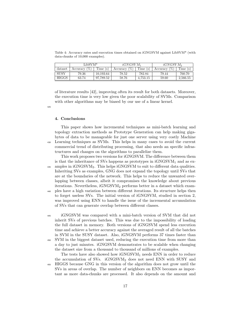Table 4: Accuracy rates and execution times obtained on iGNGSVM against LibSVM\* (with data-chunks of 10,000 examples).

|              | $LibSVM*$       |           | $iGNGSVM_1$     |          | iGNGSVM <sub>2</sub> |          |
|--------------|-----------------|-----------|-----------------|----------|----------------------|----------|
| dataset      | Accuracy $(\%)$ | Time(s)   | Accuracy $(\%)$ | Time (s) | Accuracy $(\%)$      | Time (s) |
| <b>SUSY</b>  | 79.36           | 10.193.64 | 78.52           | 782.84   | 79.44                | 760.70   |
| <b>HIGGS</b> | 63.74           | 97.789.52 | 58.76           | 4,753.15 | 59.60                | 2,566.55 |

of literature results [42], improving often its result for both datasets. Moreover, the execution time is very low given the poor scalability of SVMs. Comparison with other algorithms may be biased by our use of a linear kernel.

425

## 4. Conclusions

This paper shows how incremental techniques as mini-batch learning and topology extraction methods as Prototype Generation can help making gigabytes of data to be manageable for just one server using very costly Machine <sup>430</sup> Learning techniques as SVMs. This helps in many cases to avoid the current commercial trend of distributing processing, that also needs an specific infrastructures and changes on the algorithms to parallelize them.

This work proposes two versions for iGNGSVM. The difference between them is that the inheritance of SVs happens as prototypes in  $i$ GNGSVM<sub>1</sub> and as ex-435 amples in iGNGSVM<sub>2</sub>. This helps iGNGSVM to suit to different data qualities. Inheriting SVs as examples, GNG does not expand the topology until SVs that are at the boundaries of the network. This helps to reduce the unwanted overlapping between classes, albeit it compromises the knowledge about previous iterations. Nevertheless, iGNGSVM<sup>2</sup> performs better in a dataset which exam-<sup>440</sup> ples have a high variation between different iterations. Its structure helps then

to forget useless SVs. The initial version of iGNGSVM, studied in section 2, was improved using ENN to handle the issue of the incremental accumulation of SVs that can generate overlap between different classes.

<sup>445</sup> iGNGSVM was compared with a mini-batch version of SVM that did not inherit SVs of previous batches. This was due to the impossibility of loading the full dataset in memory. Both versions of iGNGSVM spend less execution time and achieve a better accuracy against the averaged result of all the batches in SVM in the SUSY dataset. Also, iGNGSVM performs 37 times faster than <sup>450</sup> SVM in the biggest dataset used, reducing the execution time from more than a day to just minutes. iGNGSVM demonstrates to be scalable when changing the dataset size from a thousand to thousand of millions of examples.

The tests have also showed how  $iGNGSVM<sub>1</sub>$  needs ENN in order to reduce the accumulation of SVs.  $iGNGSVM<sub>2</sub>$  does not need ENN with SUSY and <sup>455</sup> HIGGS because GNG in this version of the algorithm does not grow until the SVs in areas of overlap. The number of neighbors on ENN becomes as important as more data-chunks are processed. It also depends on the amount and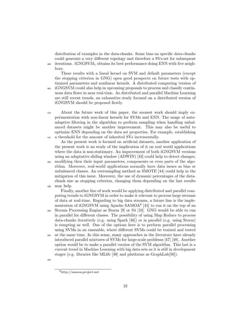distribution of examples in the data-chunks. Some bias on specific data-chunks could generate a very different topology and therefore a SVs-set for subsequent  $460$  iterations. iGNGSVM<sub>1</sub> obtains its best performance doing ENN with five neighbors.

These results with a lineal kernel on SVM and default parameters (except the stopping criterion in GNG) open good prospects on future tests with optimized parameters and nonlinear kernels. A distributed computing version of <sup>465</sup> iGNGSVM could also help in upcoming proposals to process and classify contin-

uous data flows in near real-time. As distributed and parallel Machine Learning are still recent trends, an exhaustive study focused on a distributed version of iGNGSVM should be proposed firstly.

<sup>470</sup> About the future work of this paper, the soonest work should imply experimentation with non-linear kernels for SVMs and ENN. The usage of autoadaptive filtering in the algorithm to perform sampling when handling unbalanced datasets might be another improvement. This may also be useful to optimize ENN depending on the data set properties. For example, establishing <sup>475</sup> a threshold for the amount of inherited SVs incrementally.

As the present work is focused on artificial datasets, another application of the present work is an study of the implication of it on real world applications where the data is non-stationary. An improvement of both iGNGSVM versions using an adaptative sliding window (ADWIN) [43] could help to detect changes,

<sup>480</sup> modifying then their input parameters, components or even parts of the algorithm. Moreover, real-world applications normally have data issues as bias or unbalanced classes. An oversampling method as SMOTE [44] could help in the mitigation of this issue. Moreover, the use of dynamic percentages of the datachunk size as stopping criterion, changing them depending on the last results <sup>485</sup> may help.

Finally, another line of work would be applying distributed and parallel computing trends to iGNGSVM in order to make it relevant to process large streams of data at real-time. Regarding to big data streams, a future line is the implementation of iGNGSVM using Apache SAMOA<sup>8</sup> [45] to run it on the top of an

<sup>490</sup> Stream Processing Engine as Storm [9] or S4 [10]. GNG would be able to run in parallel for different classes. The possibility of using Map Reduce to process data-chunks iteratively (e.g. using Spark [46]) or in parallel (e.g. using Storm) is tempting as well. One of the options here is to perform parallel processing using SVMs in an ensemble, where different SVMs could be trained and tested

<sup>495</sup> at the same time. In this sense, many approaches in the literature have already introduced parallel mixtures of SVMs for large-scale problems [47] [48]. Another option would be to make a parallel version of the SVM algorithm. This last is a current trend in Machine Learning with big data sets as it is still in development stages (e.g. libraries like MLlib [49] and platforms as GraphLab[50]).

500

<sup>8</sup>http://samoa-project.net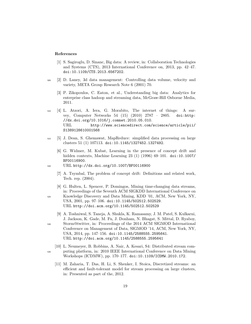## References

- [1] S. Sagiroglu, D. Sinanc, Big data: A review, in: Collaboration Technologies and Systems (CTS), 2013 International Conference on, 2013, pp. 42–47. doi:10.1109/CTS.2013.6567202.
- <sup>505</sup> [2] D. Laney, 3d data management: Controlling data volume, velocity and variety, META Group Research Note 6 (2001) 70.
	- [3] P. Zikopoulos, C. Eaton, et al., Understanding big data: Analytics for enterprise class hadoop and streaming data, McGraw-Hill Osborne Media, 2011.
- <sup>510</sup> [4] L. Atzori, A. Iera, G. Morabito, The internet of things: A survey, Computer Networks 54 (15) (2010) 2787 – 2805. doi:http: //dx.doi.org/10.1016/j.comnet.2010.05.010. URL http://www.sciencedirect.com/science/article/pii/ S1389128610001568
- <sup>515</sup> [5] J. Dean, S. Ghemawat, MapReduce: simplified data processing on large clusters 51 (1) 107113. doi:10.1145/1327452.1327492.
	- [6] G. Widmer, M. Kubat, Learning in the presence of concept drift and hidden contexts, Machine Learning 23 (1) (1996) 69–101. doi:10.1007/ BF00116900.
- <sup>520</sup> URL http://dx.doi.org/10.1007/BF00116900
	- [7] A. Tsymbal, The problem of concept drift: Definitions and related work, Tech. rep. (2004).
	- [8] G. Hulten, L. Spencer, P. Domingos, Mining time-changing data streams, in: Proceedings of the Seventh ACM SIGKDD International Conference on
- <sup>525</sup> Knowledge Discovery and Data Mining, KDD '01, ACM, New York, NY, USA, 2001, pp. 97–106. doi:10.1145/502512.502529. URL http://doi.acm.org/10.1145/502512.502529
- [9] A. Toshniwal, S. Taneja, A. Shukla, K. Ramasamy, J. M. Patel, S. Kulkarni, J. Jackson, K. Gade, M. Fu, J. Donham, N. Bhagat, S. Mittal, D. Ryaboy, <sup>530</sup> Storm@twitter, in: Proceedings of the 2014 ACM SIGMOD International Conference on Management of Data, SIGMOD '14, ACM, New York, NY, USA, 2014, pp. 147–156. doi:10.1145/2588555.2595641. URL http://doi.acm.org/10.1145/2588555.2595641
- [10] L. Neumeyer, B. Robbins, A. Nair, A. Kesari, S4: Distributed stream com-<sup>535</sup> puting platform, in: 2010 IEEE International Conference on Data Mining Workshops (ICDMW), pp. 170–177. doi:10.1109/ICDMW.2010.172.
	- [11] M. Zaharia, T. Das, H. Li, S. Shenker, I. Stoica, Discretized streams: an efficient and fault-tolerant model for stream processing on large clusters, in: Presented as part of the, 2012.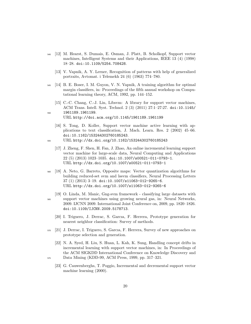- <sup>540</sup> [12] M. Hearst, S. Dumais, E. Osman, J. Platt, B. Scholkopf, Support vector machines, Intelligent Systems and their Applications, IEEE 13 (4) (1998) 18–28. doi:10.1109/5254.708428.
	- [13] V. Vapnik, A. Y. Lerner, Recognition of patterns with help of generalized portraits, Avtomat. i Telemekh 24 (6) (1963) 774–780.
- <sup>545</sup> [14] B. E. Boser, I. M. Guyon, V. N. Vapnik, A training algorithm for optimal margin classifiers, in: Proceedings of the fifth annual workshop on Computational learning theory, ACM, 1992, pp. 144–152.
- [15] C.-C. Chang, C.-J. Lin, Libsvm: A library for support vector machines, ACM Trans. Intell. Syst. Technol. 2 (3) (2011) 27:1–27:27. doi:10.1145/ <sup>550</sup> 1961189.1961199.
	- URL http://doi.acm.org/10.1145/1961189.1961199
	- [16] S. Tong, D. Koller, Support vector machine active learning with applications to text classification, J. Mach. Learn. Res. 2 (2002) 45–66. doi:10.1162/153244302760185243.
- <sup>555</sup> URL http://dx.doi.org/10.1162/153244302760185243
	- [17] J. Zheng, F. Shen, H. Fan, J. Zhao, An online incremental learning support vector machine for large-scale data, Neural Computing and Applications 22 (5) (2013) 1023–1035. doi:10.1007/s00521-011-0793-1. URL http://dx.doi.org/10.1007/s00521-011-0793-1
- <sup>560</sup> [18] A. Neto, G. Barreto, Opposite maps: Vector quantization algorithms for building reduced-set svm and lssvm classifiers, Neural Processing Letters 37 (1) (2013) 3–19. doi:10.1007/s11063-012-9265-6. URL http://dx.doi.org/10.1007/s11063-012-9265-6
- [19] O. Linda, M. Manic, Gng-svm framework classifying large datasets with <sup>565</sup> support vector machines using growing neural gas, in: Neural Networks, 2009. IJCNN 2009. International Joint Conference on, 2009, pp. 1820–1826. doi:10.1109/IJCNN.2009.5178713.
	- [20] I. Triguero, J. Derrac, S. Garcıa, F. Herrera, Prototype generation for nearest neighbor classification: Survey of methods.
- <sup>570</sup> [21] J. Derrac, I. Triguero, S. Garcıa, F. Herrera, Survey of new approaches on prototype selection and generation.
- [22] N. A. Syed, H. Liu, S. Huan, L. Kah, K. Sung, Handling concept drifts in incremental learning with support vector machines, in: In Proceedings of the ACM SIGKDD International Conference on Knowledge Discovery and <sup>575</sup> Data Mining (KDD-99, ACM Press, 1999, pp. 317–321.
- 
- [23] G. Cauwenberghs, T. Poggio, Incremental and decremental support vector machine learning (2000).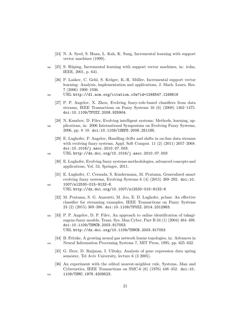- [24] N. A. Syed, S. Huan, L. Kah, K. Sung, Incremental learning with support vector machines (1999).
- $580 \quad [25]$  S. Rüping, Incremental learning with support vector machines, in: icdm, IEEE, 2001, p. 641.
	- [26] P. Laskov, C. Gehl, S. Krüger, K.-R. Müller, Incremental support vector learning: Analysis, implementation and applications, J. Mach. Learn. Res. 7 (2006) 1909–1936.
- <sup>585</sup> URL http://dl.acm.org/citation.cfm?id=1248547.1248616
	- [27] P. P. Angelov, X. Zhou, Evolving fuzzy-rule-based classifiers from data streams, IEEE Transactions on Fuzzy Systems 16 (6) (2008) 1462–1475. doi:10.1109/TFUZZ.2008.925904.
- [28] N. Kasabov, D. Filev, Evolving intelligent systems: Methods, learning, ap-<sup>590</sup> plications, in: 2006 International Symposium on Evolving Fuzzy Systems, 2006, pp. 8–18. doi:10.1109/ISEFS.2006.251185.
	- [29] E. Lughofer, P. Angelov, Handling drifts and shifts in on-line data streams with evolving fuzzy systems, Appl. Soft Comput. 11 (2) (2011) 2057–2068. doi:10.1016/j.asoc.2010.07.003.
- <sup>595</sup> URL http://dx.doi.org/10.1016/j.asoc.2010.07.003
	- [30] E. Lughofer, Evolving fuzzy systems-methodologies, advanced concepts and applications, Vol. 53, Springer, 2011.
- [31] E. Lughofer, C. Cernuda, S. Kindermann, M. Pratama, Generalized smart evolving fuzzy systems, Evolving Systems 6 (4) (2015) 269–292. doi:10. <sup>600</sup> 1007/s12530-015-9132-6.

URL http://dx.doi.org/10.1007/s12530-015-9132-6

- [32] M. Pratama, S. G. Anavatti, M. Joo, E. D. Lughofer, pclass: An effective classifier for streaming examples, IEEE Transactions on Fuzzy Systems 23 (2) (2015) 369–386. doi:10.1109/TFUZZ.2014.2312983.
- <sup>605</sup> [33] P. P. Angelov, D. P. Filev, An approach to online identification of takagisugeno fuzzy models, Trans. Sys. Man Cyber. Part B 34 (1) (2004) 484–498. doi:10.1109/TSMCB.2003.817053. URL http://dx.doi.org/10.1109/TSMCB.2003.817053
- [34] B. Fritzke, A growing neural gas network learns topologies, in: Advances in <sup>610</sup> Neural Information Processing Systems 7, MIT Press, 1995, pp. 625–632.
	- [35] G. Dror, D. Raijman, I. Ulitsky, Analysis of gene expression data spring semester, Tel Aviv University, lecture 6 (3 2005).
- [36] An experiment with the edited nearest-neighbor rule, Systems, Man and Cybernetics, IEEE Transactions on SMC-6 (6) (1976) 448–452. doi:10. <sup>615</sup> 1109/TSMC.1976.4309523.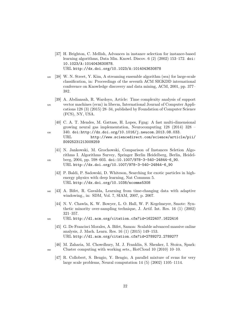- [37] H. Brighton, C. Mellish, Advances in instance selection for instance-based learning algorithms, Data Min. Knowl. Discov. 6 (2) (2002) 153–172. doi: 10.1023/A:1014043630878. URL http://dx.doi.org/10.1023/A:1014043630878
- <sup>620</sup> [38] W. N. Street, Y. Kim, A streaming ensemble algorithm (sea) for large-scale classification, in: Proceedings of the seventh ACM SIGKDD international conference on Knowledge discovery and data mining, ACM, 2001, pp. 377– 382.
- [39] A. Abdiansah, R. Wardoyo, Article: Time complexity analysis of support <sup>625</sup> vector machines (svm) in libsvm, International Journal of Computer Applications 128 (3) (2015) 28–34, published by Foundation of Computer Science (FCS), NY, USA.
- [40] C. A. T. Mendes, M. Gattass, H. Lopes, Fgng: A fast multi-dimensional growing neural gas implementation, Neurocomputing 128 (2014) 328 – <sup>630</sup> 340. doi:http://dx.doi.org/10.1016/j.neucom.2013.08.033.
	- URL http://www.sciencedirect.com/science/article/pii/ S0925231213009259
- [41] N. Jankowski, M. Grochowski, Comparison of Instances Seletion Algorithms I. Algorithms Survey, Springer Berlin Heidelberg, Berlin, Heidel-<sup>635</sup> berg, 2004, pp. 598–603. doi:10.1007/978-3-540-24844-6\_90.
	- URL http://dx.doi.org/10.1007/978-3-540-24844-6\_90
	- [42] P. Baldi, P. Sadowski, D. Whiteson, Searching for exotic particles in highenergy physics with deep learning, Nat Commun 5. URL http://dx.doi.org/10.1038/ncomms5308
- <sup>640</sup> [43] A. Bifet, R. Gavalda, Learning from time-changing data with adaptive windowing., in: SDM, Vol. 7, SIAM, 2007, p. 2007.
	- [44] N. V. Chawla, K. W. Bowyer, L. O. Hall, W. P. Kegelmeyer, Smote: Synthetic minority over-sampling technique, J. Artif. Int. Res. 16 (1) (2002) 321–357.
- <sup>645</sup> URL http://dl.acm.org/citation.cfm?id=1622407.1622416
	- [45] G. De Francisci Morales, A. Bifet, Samoa: Scalable advanced massive online analysis, J. Mach. Learn. Res. 16 (1) (2015) 149–153. URL http://dl.acm.org/citation.cfm?id=2789272.2789277
- [46] M. Zaharia, M. Chowdhury, M. J. Franklin, S. Shenker, I. Stoica, Spark: <sup>650</sup> Cluster computing with working sets., HotCloud 10 (2010) 10–10.
	- [47] R. Collobert, S. Bengio, Y. Bengio, A parallel mixture of svms for very large scale problems, Neural computation 14 (5) (2002) 1105–1114.